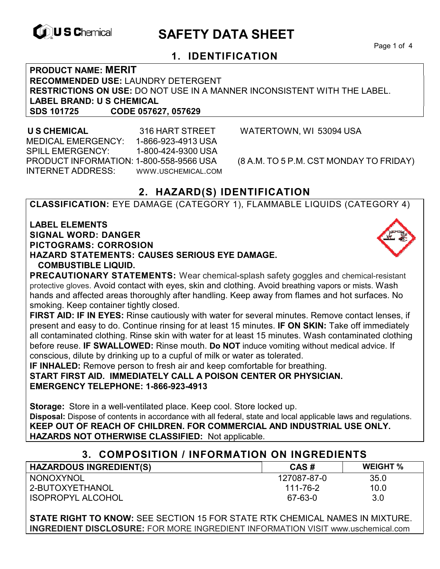

# **EXAGREM** SAFETY DATA SHEET

Page 1 of 4

## **1. IDENTIFICATION**

**PRODUCT NAME: MERIT RECOMMENDED USE:** LAUNDRY DETERGENT **RESTRICTIONS ON USE:** DO NOT USE IN A MANNER INCONSISTENT WITH THE LABEL. **LABEL BRAND: U S CHEMICAL SDS 101725 CODE 057627, 057629** 

 **U S CHEMICAL** 316 HART STREET WATERTOWN, WI 53094 USA MEDICAL EMERGENCY: 1-866-923-4913 USA SPILL EMERGENCY: 1-800-424-9300 USA PRODUCT INFORMATION: 1-800-558-9566 USA (8 A.M. TO 5 P.M. CST MONDAY TO FRIDAY) INTERNET ADDRESS: WWW.USCHEMICAL.COM

# **2. HAZARD(S) IDENTIFICATION**

**CLASSIFICATION:** EYE DAMAGE (CATEGORY 1), FLAMMABLE LIQUIDS (CATEGORY 4)

**LABEL ELEMENTS SIGNAL WORD: DANGER PICTOGRAMS: CORROSION HAZARD STATEMENTS: CAUSES SERIOUS EYE DAMAGE. COMBUSTIBLE LIQUID.** 



**PRECAUTIONARY STATEMENTS:** Wear chemical-splash safety goggles and chemical-resistant protective gloves. Avoid contact with eyes, skin and clothing. Avoid breathing vapors or mists. Wash hands and affected areas thoroughly after handling. Keep away from flames and hot surfaces. No smoking. Keep container tightly closed.

**FIRST AID: IF IN EYES:** Rinse cautiously with water for several minutes. Remove contact lenses, if present and easy to do. Continue rinsing for at least 15 minutes. **IF ON SKIN:** Take off immediately all contaminated clothing. Rinse skin with water for at least 15 minutes. Wash contaminated clothing before reuse. **IF SWALLOWED:** Rinse mouth. **Do NOT** induce vomiting without medical advice. If conscious, dilute by drinking up to a cupful of milk or water as tolerated.

**IF INHALED:** Remove person to fresh air and keep comfortable for breathing. **START FIRST AID. IMMEDIATELY CALL A POISON CENTER OR PHYSICIAN. EMERGENCY TELEPHONE: 1-866-923-4913**

**Storage:** Store in a well-ventilated place. Keep cool. Store locked up. **Disposal:** Dispose of contents in accordance with all federal, state and local applicable laws and regulations. **KEEP OUT OF REACH OF CHILDREN. FOR COMMERCIAL AND INDUSTRIAL USE ONLY. HAZARDS NOT OTHERWISE CLASSIFIED:** Not applicable.

| <b>COMPOSITION / INFORMATION ON INGREDIENTS</b> |             |                 |  |  |
|-------------------------------------------------|-------------|-----------------|--|--|
| <b>HAZARDOUS INGREDIENT(S)</b>                  | CAS#        | <b>WEIGHT %</b> |  |  |
| NONOXYNOL                                       | 127087-87-0 | 35.0            |  |  |
| 2-BUTOXYETHANOL                                 | 111-76-2    | 10.0            |  |  |
| <b>ISOPROPYL ALCOHOL</b>                        | 67-63-0     | 3.0             |  |  |

**STATE RIGHT TO KNOW:** SEE SECTION 15 FOR STATE RTK CHEMICAL NAMES IN MIXTURE. **INGREDIENT DISCLOSURE:** FOR MORE INGREDIENT INFORMATION VISIT www.uschemical.com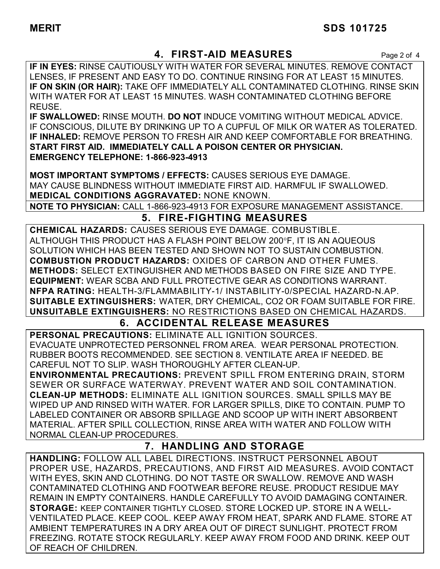## **MERIT SDS 101725**

## **4. FIRST-AID MEASURES** Page 2 of 4

**IF IN EYES:** RINSE CAUTIOUSLY WITH WATER FOR SEVERAL MINUTES. REMOVE CONTACT LENSES, IF PRESENT AND EASY TO DO. CONTINUE RINSING FOR AT LEAST 15 MINUTES. **IF ON SKIN (OR HAIR):** TAKE OFF IMMEDIATELY ALL CONTAMINATED CLOTHING. RINSE SKIN WITH WATER FOR AT LEAST 15 MINUTES. WASH CONTAMINATED CLOTHING BEFORE REUSE.

**IF SWALLOWED:** RINSE MOUTH. **DO NOT** INDUCE VOMITING WITHOUT MEDICAL ADVICE. IF CONSCIOUS, DILUTE BY DRINKING UP TO A CUPFUL OF MILK OR WATER AS TOLERATED. **IF INHALED:** REMOVE PERSON TO FRESH AIR AND KEEP COMFORTABLE FOR BREATHING. **START FIRST AID. IMMEDIATELY CALL A POISON CENTER OR PHYSICIAN. EMERGENCY TELEPHONE: 1-866-923-4913**

**MOST IMPORTANT SYMPTOMS / EFFECTS:** CAUSES SERIOUS EYE DAMAGE. MAY CAUSE BLINDNESS WITHOUT IMMEDIATE FIRST AID. HARMFUL IF SWALLOWED. **MEDICAL CONDITIONS AGGRAVATED:** NONE KNOWN.

**NOTE TO PHYSICIAN:** CALL 1-866-923-4913 FOR EXPOSURE MANAGEMENT ASSISTANCE.

# **5. FIRE-FIGHTING MEASURES**

**CHEMICAL HAZARDS:** CAUSES SERIOUS EYE DAMAGE. COMBUSTIBLE. ALTHOUGH THIS PRODUCT HAS A FLASH POINT BELOW 200F, IT IS AN AQUEOUS SOLUTION WHICH HAS BEEN TESTED AND SHOWN NOT TO SUSTAIN COMBUSTION. **COMBUSTION PRODUCT HAZARDS:** OXIDES OF CARBON AND OTHER FUMES. **METHODS:** SELECT EXTINGUISHER AND METHODS BASED ON FIRE SIZE AND TYPE. **EQUIPMENT:** WEAR SCBA AND FULL PROTECTIVE GEAR AS CONDITIONS WARRANT. **NFPA RATING:** HEALTH-3/FLAMMABILITY-1/ INSTABILITY-0/SPECIAL HAZARD-N.AP. **SUITABLE EXTINGUISHERS:** WATER, DRY CHEMICAL, CO2 OR FOAM SUITABLE FOR FIRE. **UNSUITABLE EXTINGUISHERS:** NO RESTRICTIONS BASED ON CHEMICAL HAZARDS.

## **6. ACCIDENTAL RELEASE MEASURES**

**PERSONAL PRECAUTIONS:** ELIMINATE ALL IGNITION SOURCES. EVACUATE UNPROTECTED PERSONNEL FROM AREA. WEAR PERSONAL PROTECTION. RUBBER BOOTS RECOMMENDED. SEE SECTION 8. VENTILATE AREA IF NEEDED. BE CAREFUL NOT TO SLIP. WASH THOROUGHLY AFTER CLEAN-UP.

**ENVIRONMENTAL PRECAUTIONS:** PREVENT SPILL FROM ENTERING DRAIN, STORM SEWER OR SURFACE WATERWAY. PREVENT WATER AND SOIL CONTAMINATION. **CLEAN-UP METHODS:** ELIMINATE ALL IGNITION SOURCES. SMALL SPILLS MAY BE WIPED UP AND RINSED WITH WATER. FOR LARGER SPILLS, DIKE TO CONTAIN. PUMP TO LABELED CONTAINER OR ABSORB SPILLAGE AND SCOOP UP WITH INERT ABSORBENT MATERIAL. AFTER SPILL COLLECTION, RINSE AREA WITH WATER AND FOLLOW WITH NORMAL CLEAN-UP PROCEDURES.

## **7. HANDLING AND STORAGE**

**HANDLING:** FOLLOW ALL LABEL DIRECTIONS. INSTRUCT PERSONNEL ABOUT PROPER USE, HAZARDS, PRECAUTIONS, AND FIRST AID MEASURES. AVOID CONTACT WITH EYES, SKIN AND CLOTHING. DO NOT TASTE OR SWALLOW. REMOVE AND WASH CONTAMINATED CLOTHING AND FOOTWEAR BEFORE REUSE. PRODUCT RESIDUE MAY REMAIN IN EMPTY CONTAINERS. HANDLE CAREFULLY TO AVOID DAMAGING CONTAINER. **STORAGE:** KEEP CONTAINER TIGHTLY CLOSED. STORE LOCKED UP. STORE IN A WELL-VENTILATED PLACE. KEEP COOL. KEEP AWAY FROM HEAT, SPARK AND FLAME. STORE AT AMBIENT TEMPERATURES IN A DRY AREA OUT OF DIRECT SUNLIGHT. PROTECT FROM FREEZING. ROTATE STOCK REGULARLY. KEEP AWAY FROM FOOD AND DRINK. KEEP OUT OF REACH OF CHILDREN.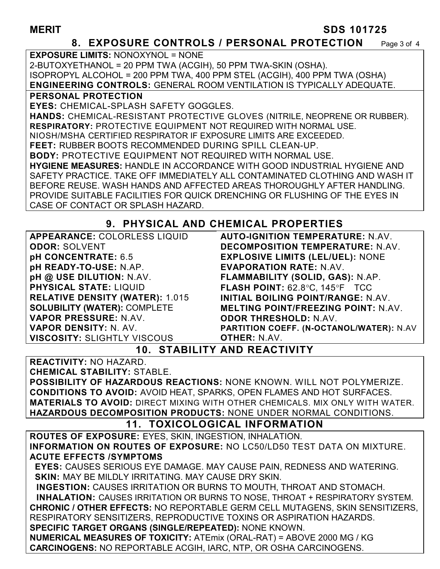#### **MERIT SDS 101725**

#### **8. EXPOSURE CONTROLS / PERSONAL PROTECTION** Page 3 of 4

**EXPOSURE LIMITS:** NONOXYNOL = NONE 2-BUTOXYETHANOL = 20 PPM TWA (ACGIH), 50 PPM TWA-SKIN (OSHA). ISOPROPYL ALCOHOL = 200 PPM TWA, 400 PPM STEL (ACGIH), 400 PPM TWA (OSHA) **ENGINEERING CONTROLS:** GENERAL ROOM VENTILATION IS TYPICALLY ADEQUATE. **PERSONAL PROTECTION EYES:** CHEMICAL-SPLASH SAFETY GOGGLES. **HANDS:** CHEMICAL-RESISTANT PROTECTIVE GLOVES (NITRILE, NEOPRENE OR RUBBER). **RESPIRATORY:** PROTECTIVE EQUIPMENT NOT REQUIRED WITH NORMAL USE. NIOSH/MSHA CERTIFIED RESPIRATOR IF EXPOSURE LIMITS ARE EXCEEDED. **FEET:** RUBBER BOOTS RECOMMENDED DURING SPILL CLEAN-UP. **BODY:** PROTECTIVE EQUIPMENT NOT REQUIRED WITH NORMAL USE. **HYGIENE MEASURES:** HANDLE IN ACCORDANCE WITH GOOD INDUSTRIAL HYGIENE AND SAFETY PRACTICE. TAKE OFF IMMEDIATELY ALL CONTAMINATED CLOTHING AND WASH IT BEFORE REUSE. WASH HANDS AND AFFECTED AREAS THOROUGHLY AFTER HANDLING. PROVIDE SUITABLE FACILITIES FOR QUICK DRENCHING OR FLUSHING OF THE EYES IN CASE OF CONTACT OR SPLASH HAZARD.

## **9. PHYSICAL AND CHEMICAL PROPERTIES**

**APPEARANCE:** COLORLESS LIQUID **ODOR:** SOLVENT **pH CONCENTRATE:** 6.5 **pH READY-TO-USE:** N.AP. **pH @ USE DILUTION:** N.AV. **PHYSICAL STATE:** LIQUID **RELATIVE DENSITY (WATER):** 1.015 **SOLUBILITY (WATER):** COMPLETE **VAPOR PRESSURE:** N.AV. **VAPOR DENSITY:** N. AV. **VISCOSITY:** SLIGHTLY VISCOUS

**AUTO-IGNITION TEMPERATURE:** N.AV. **DECOMPOSITION TEMPERATURE:** N.AV. **EXPLOSIVE LIMITS (LEL/UEL):** NONE **EVAPORATION RATE:** N.AV. **FLAMMABILITY (SOLID, GAS):** N.AP. **FLASH POINT: 62.8°C, 145°F TCC INITIAL BOILING POINT/RANGE:** N.AV. **MELTING POINT/FREEZING POINT:** N.AV. **ODOR THRESHOLD:** N.AV. **PARTITION COEFF. (N-OCTANOL/WATER):** N.AV

**OTHER:** N.AV.

**10. STABILITY AND REACTIVITY** 

**REACTIVITY:** NO HAZARD. **CHEMICAL STABILITY:** STABLE. **POSSIBILITY OF HAZARDOUS REACTIONS:** NONE KNOWN. WILL NOT POLYMERIZE. **CONDITIONS TO AVOID:** AVOID HEAT, SPARKS, OPEN FLAMES AND HOT SURFACES. **MATERIALS TO AVOID:** DIRECT MIXING WITH OTHER CHEMICALS. MIX ONLY WITH WATER. **HAZARDOUS DECOMPOSITION PRODUCTS:** NONE UNDER NORMAL CONDITIONS.

#### **11. TOXICOLOGICAL INFORMATION**

**ROUTES OF EXPOSURE:** EYES, SKIN, INGESTION, INHALATION. **INFORMATION ON ROUTES OF EXPOSURE:** NO LC50/LD50 TEST DATA ON MIXTURE. **ACUTE EFFECTS /SYMPTOMS**

 **EYES:** CAUSES SERIOUS EYE DAMAGE. MAY CAUSE PAIN, REDNESS AND WATERING.  **SKIN:** MAY BE MILDLY IRRITATING. MAY CAUSE DRY SKIN.

 **INGESTION:** CAUSES IRRITATION OR BURNS TO MOUTH, THROAT AND STOMACH. **INHALATION:** CAUSES IRRITATION OR BURNS TO NOSE, THROAT + RESPIRATORY SYSTEM. **CHRONIC / OTHER EFFECTS:** NO REPORTABLE GERM CELL MUTAGENS, SKIN SENSITIZERS, RESPIRATORY SENSITIZERS, REPRODUCTIVE TOXINS OR ASPIRATION HAZARDS. **SPECIFIC TARGET ORGANS (SINGLE/REPEATED):** NONE KNOWN. **NUMERICAL MEASURES OF TOXICITY:** ATEmix (ORAL-RAT) = ABOVE 2000 MG / KG

**CARCINOGENS:** NO REPORTABLE ACGIH, IARC, NTP, OR OSHA CARCINOGENS.